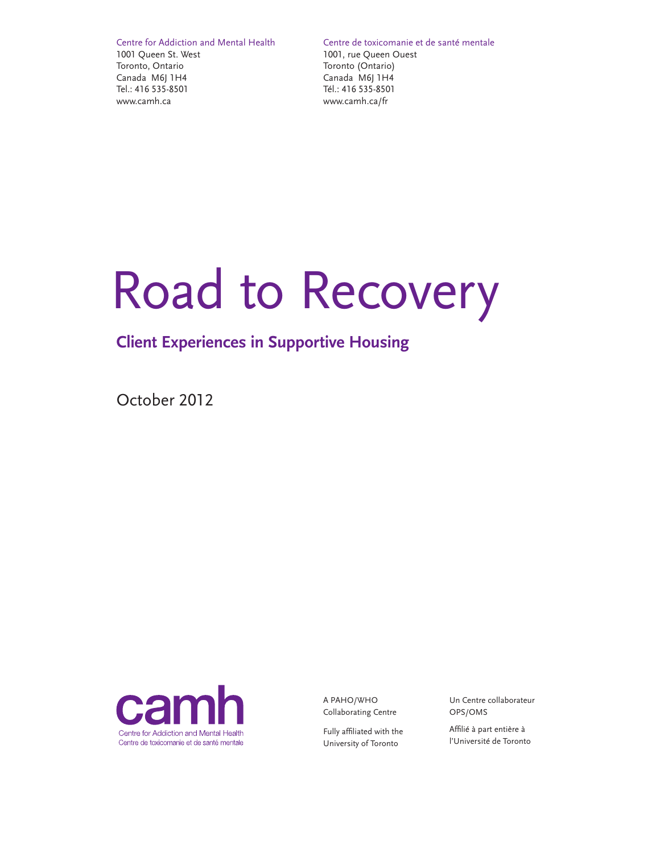Centre for Addiction and Mental Health 1001 Queen St. West Toronto, Ontario Canada M6J 1H4 Tel.: 416 535-8501 www.camh.ca

Centre de toxicomanie et de santé mentale

1001, rue Queen Ouest Toronto (Ontario) Canada M6J 1H4 Tél.: 416 535-8501 www.camh.ca/fr

# Road to Recovery

## **Client Experiences in Supportive Housing**

October 2012



A PAHO/WHO Collaborating Centre

Fully affiliated with the University of Toronto

Un Centre collaborateur OPS/OMS

Affilié à part entière à l'Université de Toronto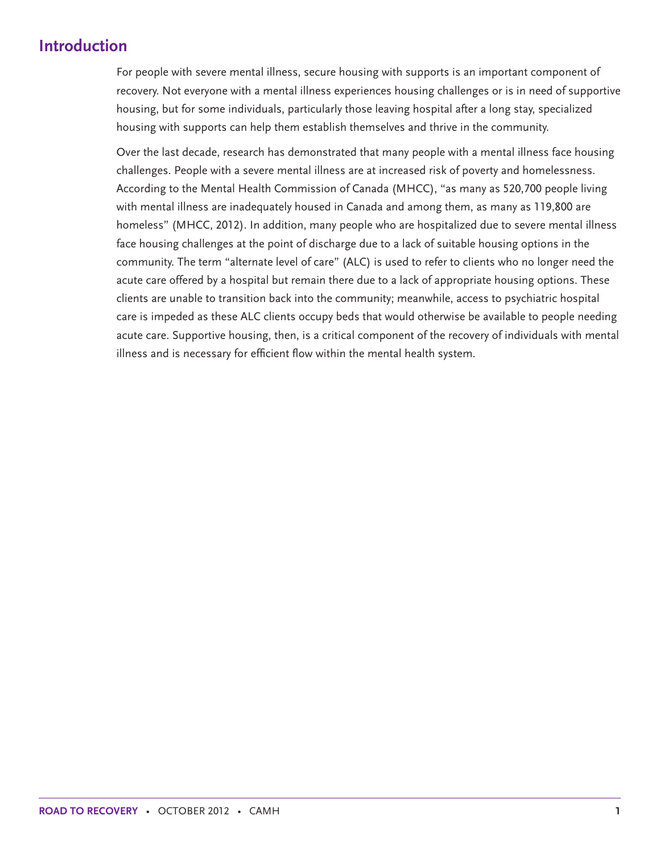## **Introduction**

For people with severe mental illness, secure housing with supports is an important component of recovery. Not everyone with a mental illness experiences housing challenges or is in need of supportive housing, but for some individuals, particularly those leaving hospital after a long stay, specialized housing with supports can help them establish themselves and thrive in the community.

Over the last decade, research has demonstrated that many people with a mental illness face housing challenges. People with a severe mental illness are at increased risk of poverty and homelessness. According to the Mental Health Commission of Canada (MHCC), "as many as 520,700 people living with mental illness are inadequately housed in Canada and among them, as many as 119,800 are homeless" (MHCC, 2012). In addition, many people who are hospitalized due to severe mental illness face housing challenges at the point of discharge due to a lack of suitable housing options in the community. The term "alternate level of care" (ALC) is used to refer to clients who no longer need the acute care offered by a hospital but remain there due to a lack of appropriate housing options. These clients are unable to transition back into the community; meanwhile, access to psychiatric hospital care is impeded as these ALC clients occupy beds that would otherwise be available to people needing acute care. Supportive housing, then, is a critical component of the recovery of individuals with mental illness and is necessary for efficient flow within the mental health system.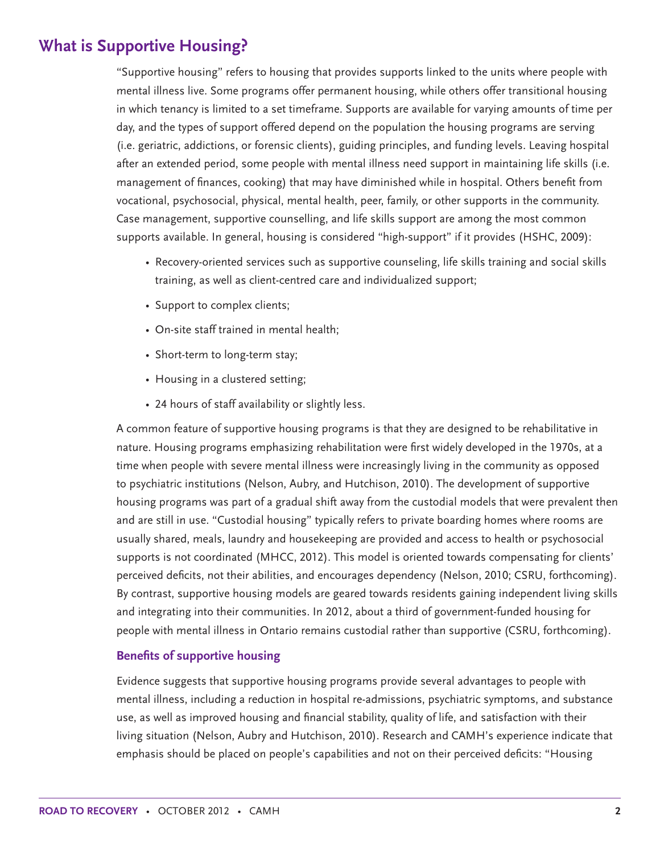## **What is Supportive Housing?**

"Supportive housing" refers to housing that provides supports linked to the units where people with mental illness live. Some programs offer permanent housing, while others offer transitional housing in which tenancy is limited to a set timeframe. Supports are available for varying amounts of time per day, and the types of support offered depend on the population the housing programs are serving (i.e. geriatric, addictions, or forensic clients), guiding principles, and funding levels. Leaving hospital after an extended period, some people with mental illness need support in maintaining life skills (i.e. management of finances, cooking) that may have diminished while in hospital. Others benefit from vocational, psychosocial, physical, mental health, peer, family, or other supports in the community. Case management, supportive counselling, and life skills support are among the most common supports available. In general, housing is considered "high-support" if it provides (HSHC, 2009):

- Recovery-oriented services such as supportive counseling, life skills training and social skills training, as well as client-centred care and individualized support;
- Support to complex clients;
- On-site staff trained in mental health;
- Short-term to long-term stay;
- Housing in a clustered setting;
- 24 hours of staff availability or slightly less.

A common feature of supportive housing programs is that they are designed to be rehabilitative in nature. Housing programs emphasizing rehabilitation were first widely developed in the 1970s, at a time when people with severe mental illness were increasingly living in the community as opposed to psychiatric institutions (Nelson, Aubry, and Hutchison, 2010). The development of supportive housing programs was part of a gradual shift away from the custodial models that were prevalent then and are still in use. "Custodial housing" typically refers to private boarding homes where rooms are usually shared, meals, laundry and housekeeping are provided and access to health or psychosocial supports is not coordinated (MHCC, 2012). This model is oriented towards compensating for clients' perceived deficits, not their abilities, and encourages dependency (Nelson, 2010; CSRU, forthcoming). By contrast, supportive housing models are geared towards residents gaining independent living skills and integrating into their communities. In 2012, about a third of government-funded housing for people with mental illness in Ontario remains custodial rather than supportive (CSRU, forthcoming).

#### **Benefits of supportive housing**

Evidence suggests that supportive housing programs provide several advantages to people with mental illness, including a reduction in hospital re-admissions, psychiatric symptoms, and substance use, as well as improved housing and financial stability, quality of life, and satisfaction with their living situation (Nelson, Aubry and Hutchison, 2010). Research and CAMH's experience indicate that emphasis should be placed on people's capabilities and not on their perceived deficits: "Housing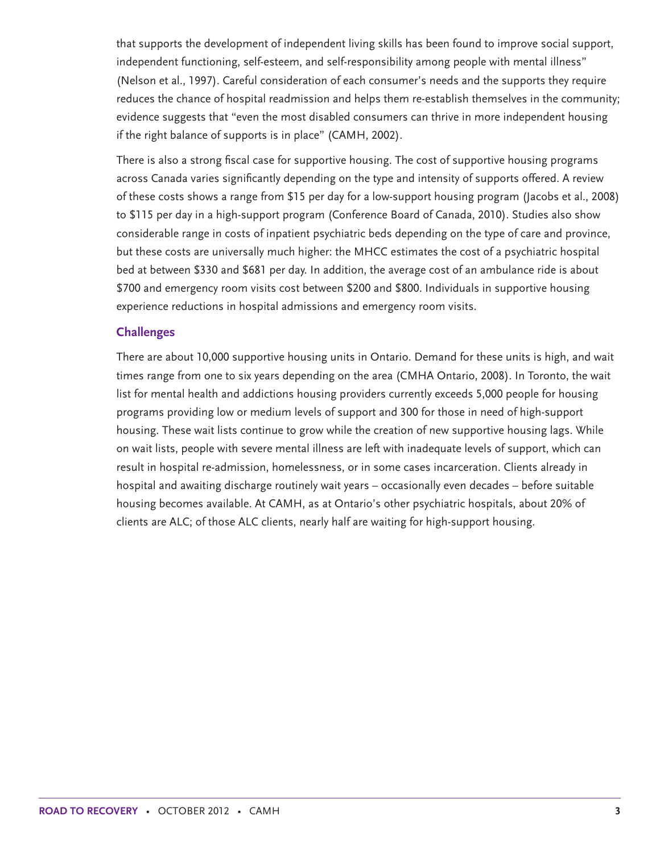that supports the development of independent living skills has been found to improve social support, independent functioning, self-esteem, and self-responsibility among people with mental illness" (Nelson et al., 1997). Careful consideration of each consumer's needs and the supports they require reduces the chance of hospital readmission and helps them re-establish themselves in the community; evidence suggests that "even the most disabled consumers can thrive in more independent housing if the right balance of supports is in place" (CAMH, 2002).

There is also a strong fiscal case for supportive housing. The cost of supportive housing programs across Canada varies significantly depending on the type and intensity of supports offered. A review of these costs shows a range from \$15 per day for a low-support housing program (Jacobs et al., 2008) to \$115 per day in a high-support program (Conference Board of Canada, 2010). Studies also show considerable range in costs of inpatient psychiatric beds depending on the type of care and province, but these costs are universally much higher: the MHCC estimates the cost of a psychiatric hospital bed at between \$330 and \$681 per day. In addition, the average cost of an ambulance ride is about \$700 and emergency room visits cost between \$200 and \$800. Individuals in supportive housing experience reductions in hospital admissions and emergency room visits.

#### **Challenges**

There are about 10,000 supportive housing units in Ontario. Demand for these units is high, and wait times range from one to six years depending on the area (CMHA Ontario, 2008). In Toronto, the wait list for mental health and addictions housing providers currently exceeds 5,000 people for housing programs providing low or medium levels of support and 300 for those in need of high-support housing. These wait lists continue to grow while the creation of new supportive housing lags. While on wait lists, people with severe mental illness are left with inadequate levels of support, which can result in hospital re-admission, homelessness, or in some cases incarceration. Clients already in hospital and awaiting discharge routinely wait years – occasionally even decades – before suitable housing becomes available. At CAMH, as at Ontario's other psychiatric hospitals, about 20% of clients are ALC; of those ALC clients, nearly half are waiting for high-support housing.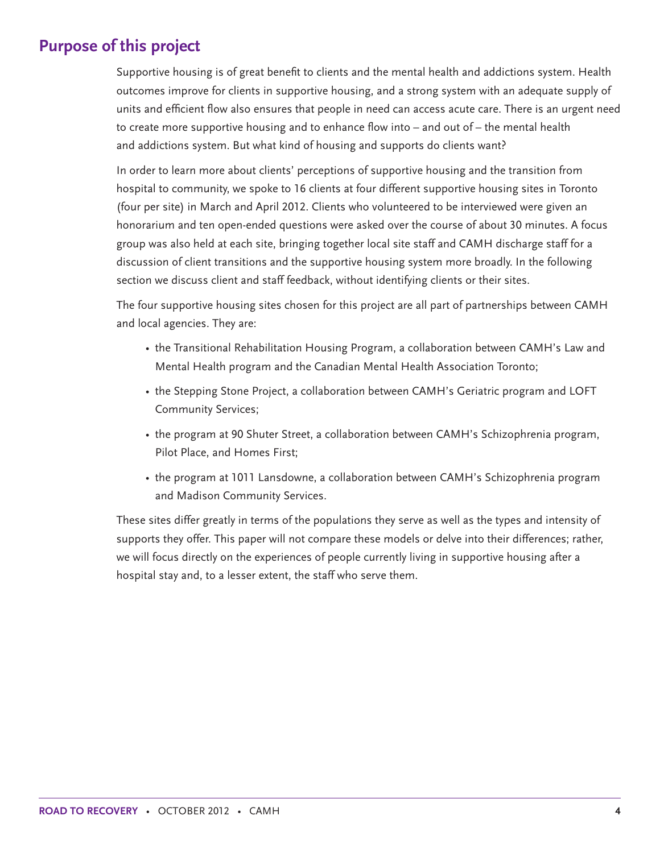## **Purpose of this project**

Supportive housing is of great benefit to clients and the mental health and addictions system. Health outcomes improve for clients in supportive housing, and a strong system with an adequate supply of units and efficient flow also ensures that people in need can access acute care. There is an urgent need to create more supportive housing and to enhance flow into – and out of – the mental health and addictions system. But what kind of housing and supports do clients want?

In order to learn more about clients' perceptions of supportive housing and the transition from hospital to community, we spoke to 16 clients at four different supportive housing sites in Toronto (four per site) in March and April 2012. Clients who volunteered to be interviewed were given an honorarium and ten open-ended questions were asked over the course of about 30 minutes. A focus group was also held at each site, bringing together local site staff and CAMH discharge staff for a discussion of client transitions and the supportive housing system more broadly. In the following section we discuss client and staff feedback, without identifying clients or their sites.

The four supportive housing sites chosen for this project are all part of partnerships between CAMH and local agencies. They are:

- the Transitional Rehabilitation Housing Program, a collaboration between CAMH's Law and Mental Health program and the Canadian Mental Health Association Toronto;
- the Stepping Stone Project, a collaboration between CAMH's Geriatric program and LOFT Community Services;
- the program at 90 Shuter Street, a collaboration between CAMH's Schizophrenia program, Pilot Place, and Homes First;
- the program at 1011 Lansdowne, a collaboration between CAMH's Schizophrenia program and Madison Community Services.

These sites differ greatly in terms of the populations they serve as well as the types and intensity of supports they offer. This paper will not compare these models or delve into their differences; rather, we will focus directly on the experiences of people currently living in supportive housing after a hospital stay and, to a lesser extent, the staff who serve them.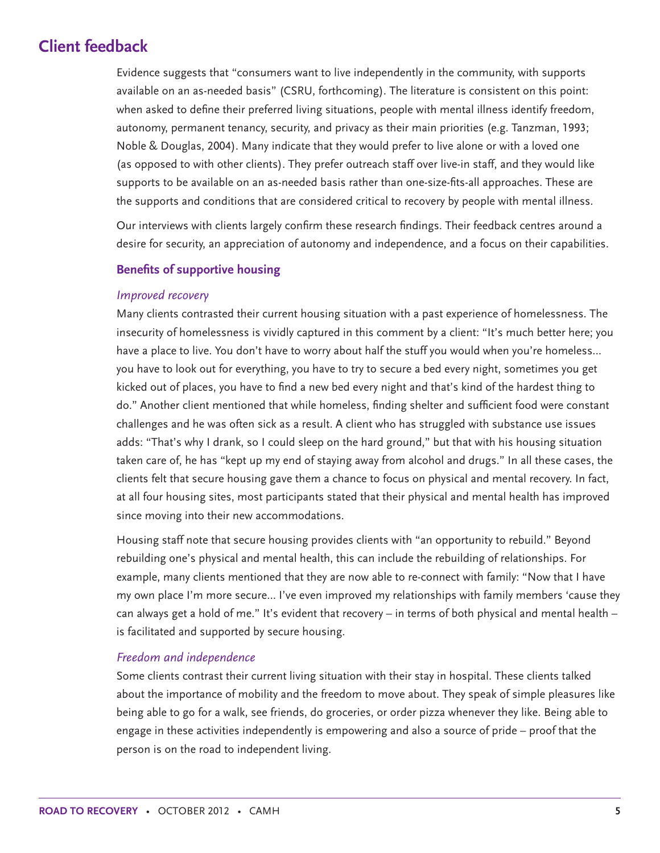## **Client feedback**

Evidence suggests that "consumers want to live independently in the community, with supports available on an as-needed basis" (CSRU, forthcoming). The literature is consistent on this point: when asked to define their preferred living situations, people with mental illness identify freedom, autonomy, permanent tenancy, security, and privacy as their main priorities (e.g. Tanzman, 1993; Noble & Douglas, 2004). Many indicate that they would prefer to live alone or with a loved one (as opposed to with other clients). They prefer outreach staff over live-in staff, and they would like supports to be available on an as-needed basis rather than one-size-fits-all approaches. These are the supports and conditions that are considered critical to recovery by people with mental illness.

Our interviews with clients largely confirm these research findings. Their feedback centres around a desire for security, an appreciation of autonomy and independence, and a focus on their capabilities.

#### **Benefits of supportive housing**

#### *Improved recovery*

Many clients contrasted their current housing situation with a past experience of homelessness. The insecurity of homelessness is vividly captured in this comment by a client: "It's much better here; you have a place to live. You don't have to worry about half the stuff you would when you're homeless… you have to look out for everything, you have to try to secure a bed every night, sometimes you get kicked out of places, you have to find a new bed every night and that's kind of the hardest thing to do." Another client mentioned that while homeless, finding shelter and sufficient food were constant challenges and he was often sick as a result. A client who has struggled with substance use issues adds: "That's why I drank, so I could sleep on the hard ground," but that with his housing situation taken care of, he has "kept up my end of staying away from alcohol and drugs." In all these cases, the clients felt that secure housing gave them a chance to focus on physical and mental recovery. In fact, at all four housing sites, most participants stated that their physical and mental health has improved since moving into their new accommodations.

Housing staff note that secure housing provides clients with "an opportunity to rebuild." Beyond rebuilding one's physical and mental health, this can include the rebuilding of relationships. For example, many clients mentioned that they are now able to re-connect with family: "Now that I have my own place I'm more secure… I've even improved my relationships with family members 'cause they can always get a hold of me." It's evident that recovery – in terms of both physical and mental health – is facilitated and supported by secure housing.

#### *Freedom and independence*

Some clients contrast their current living situation with their stay in hospital. These clients talked about the importance of mobility and the freedom to move about. They speak of simple pleasures like being able to go for a walk, see friends, do groceries, or order pizza whenever they like. Being able to engage in these activities independently is empowering and also a source of pride – proof that the person is on the road to independent living.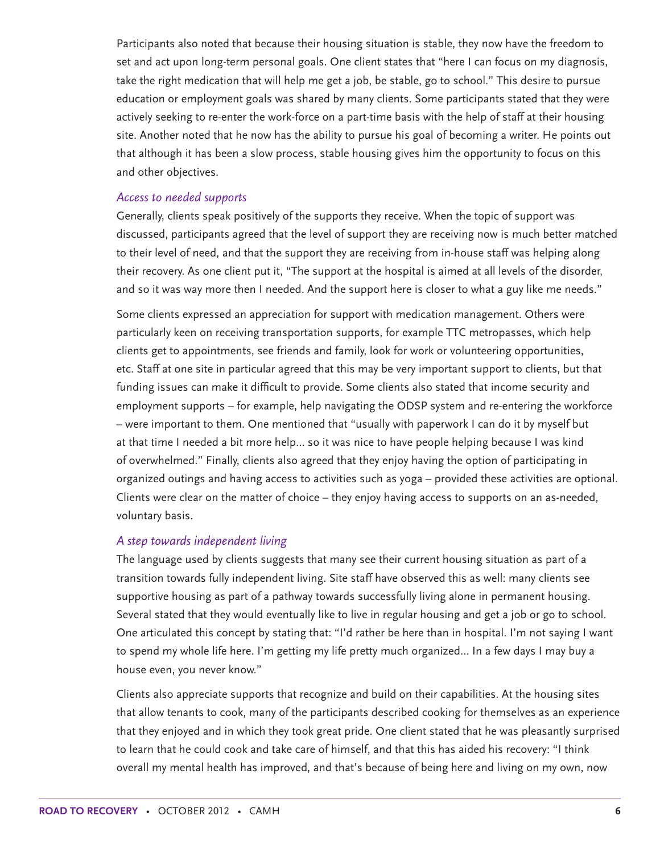Participants also noted that because their housing situation is stable, they now have the freedom to set and act upon long-term personal goals. One client states that "here I can focus on my diagnosis, take the right medication that will help me get a job, be stable, go to school." This desire to pursue education or employment goals was shared by many clients. Some participants stated that they were actively seeking to re-enter the work-force on a part-time basis with the help of staff at their housing site. Another noted that he now has the ability to pursue his goal of becoming a writer. He points out that although it has been a slow process, stable housing gives him the opportunity to focus on this and other objectives.

#### *Access to needed supports*

Generally, clients speak positively of the supports they receive. When the topic of support was discussed, participants agreed that the level of support they are receiving now is much better matched to their level of need, and that the support they are receiving from in-house staff was helping along their recovery. As one client put it, "The support at the hospital is aimed at all levels of the disorder, and so it was way more then I needed. And the support here is closer to what a guy like me needs."

Some clients expressed an appreciation for support with medication management. Others were particularly keen on receiving transportation supports, for example TTC metropasses, which help clients get to appointments, see friends and family, look for work or volunteering opportunities, etc. Staff at one site in particular agreed that this may be very important support to clients, but that funding issues can make it difficult to provide. Some clients also stated that income security and employment supports – for example, help navigating the ODSP system and re-entering the workforce – were important to them. One mentioned that "usually with paperwork I can do it by myself but at that time I needed a bit more help… so it was nice to have people helping because I was kind of overwhelmed." Finally, clients also agreed that they enjoy having the option of participating in organized outings and having access to activities such as yoga – provided these activities are optional. Clients were clear on the matter of choice – they enjoy having access to supports on an as-needed, voluntary basis.

#### *A step towards independent living*

The language used by clients suggests that many see their current housing situation as part of a transition towards fully independent living. Site staff have observed this as well: many clients see supportive housing as part of a pathway towards successfully living alone in permanent housing. Several stated that they would eventually like to live in regular housing and get a job or go to school. One articulated this concept by stating that: "I'd rather be here than in hospital. I'm not saying I want to spend my whole life here. I'm getting my life pretty much organized… In a few days I may buy a house even, you never know."

Clients also appreciate supports that recognize and build on their capabilities. At the housing sites that allow tenants to cook, many of the participants described cooking for themselves as an experience that they enjoyed and in which they took great pride. One client stated that he was pleasantly surprised to learn that he could cook and take care of himself, and that this has aided his recovery: "I think overall my mental health has improved, and that's because of being here and living on my own, now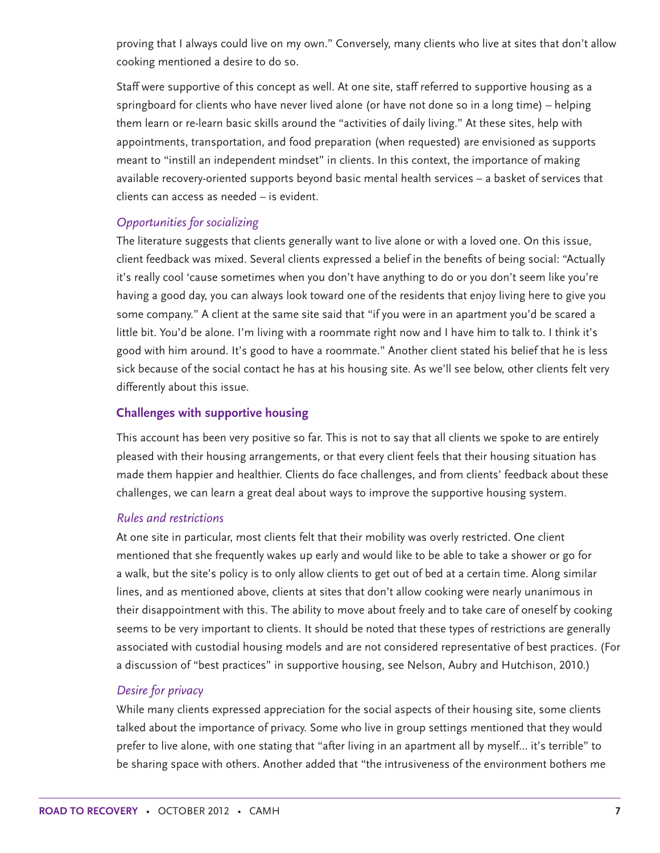proving that I always could live on my own." Conversely, many clients who live at sites that don't allow cooking mentioned a desire to do so.

Staff were supportive of this concept as well. At one site, staff referred to supportive housing as a springboard for clients who have never lived alone (or have not done so in a long time) – helping them learn or re-learn basic skills around the "activities of daily living." At these sites, help with appointments, transportation, and food preparation (when requested) are envisioned as supports meant to "instill an independent mindset" in clients. In this context, the importance of making available recovery-oriented supports beyond basic mental health services – a basket of services that clients can access as needed – is evident.

#### *Opportunities for socializing*

The literature suggests that clients generally want to live alone or with a loved one. On this issue, client feedback was mixed. Several clients expressed a belief in the benefits of being social: "Actually it's really cool 'cause sometimes when you don't have anything to do or you don't seem like you're having a good day, you can always look toward one of the residents that enjoy living here to give you some company." A client at the same site said that "if you were in an apartment you'd be scared a little bit. You'd be alone. I'm living with a roommate right now and I have him to talk to. I think it's good with him around. It's good to have a roommate." Another client stated his belief that he is less sick because of the social contact he has at his housing site. As we'll see below, other clients felt very differently about this issue.

#### **Challenges with supportive housing**

This account has been very positive so far. This is not to say that all clients we spoke to are entirely pleased with their housing arrangements, or that every client feels that their housing situation has made them happier and healthier. Clients do face challenges, and from clients' feedback about these challenges, we can learn a great deal about ways to improve the supportive housing system.

#### *Rules and restrictions*

At one site in particular, most clients felt that their mobility was overly restricted. One client mentioned that she frequently wakes up early and would like to be able to take a shower or go for a walk, but the site's policy is to only allow clients to get out of bed at a certain time. Along similar lines, and as mentioned above, clients at sites that don't allow cooking were nearly unanimous in their disappointment with this. The ability to move about freely and to take care of oneself by cooking seems to be very important to clients. It should be noted that these types of restrictions are generally associated with custodial housing models and are not considered representative of best practices. (For a discussion of "best practices" in supportive housing, see Nelson, Aubry and Hutchison, 2010.)

#### *Desire for privacy*

While many clients expressed appreciation for the social aspects of their housing site, some clients talked about the importance of privacy. Some who live in group settings mentioned that they would prefer to live alone, with one stating that "after living in an apartment all by myself… it's terrible" to be sharing space with others. Another added that "the intrusiveness of the environment bothers me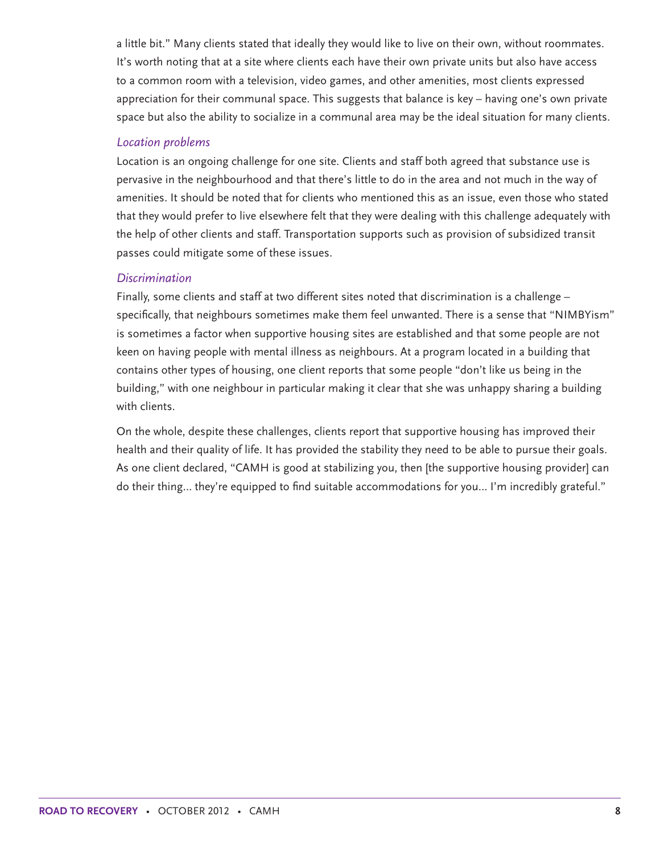a little bit." Many clients stated that ideally they would like to live on their own, without roommates. It's worth noting that at a site where clients each have their own private units but also have access to a common room with a television, video games, and other amenities, most clients expressed appreciation for their communal space. This suggests that balance is key – having one's own private space but also the ability to socialize in a communal area may be the ideal situation for many clients.

#### *Location problems*

Location is an ongoing challenge for one site. Clients and staff both agreed that substance use is pervasive in the neighbourhood and that there's little to do in the area and not much in the way of amenities. It should be noted that for clients who mentioned this as an issue, even those who stated that they would prefer to live elsewhere felt that they were dealing with this challenge adequately with the help of other clients and staff. Transportation supports such as provision of subsidized transit passes could mitigate some of these issues.

#### *Discrimination*

Finally, some clients and staff at two different sites noted that discrimination is a challenge – specifically, that neighbours sometimes make them feel unwanted. There is a sense that "NIMBYism" is sometimes a factor when supportive housing sites are established and that some people are not keen on having people with mental illness as neighbours. At a program located in a building that contains other types of housing, one client reports that some people "don't like us being in the building," with one neighbour in particular making it clear that she was unhappy sharing a building with clients.

On the whole, despite these challenges, clients report that supportive housing has improved their health and their quality of life. It has provided the stability they need to be able to pursue their goals. As one client declared, "CAMH is good at stabilizing you, then [the supportive housing provider] can do their thing… they're equipped to find suitable accommodations for you… I'm incredibly grateful."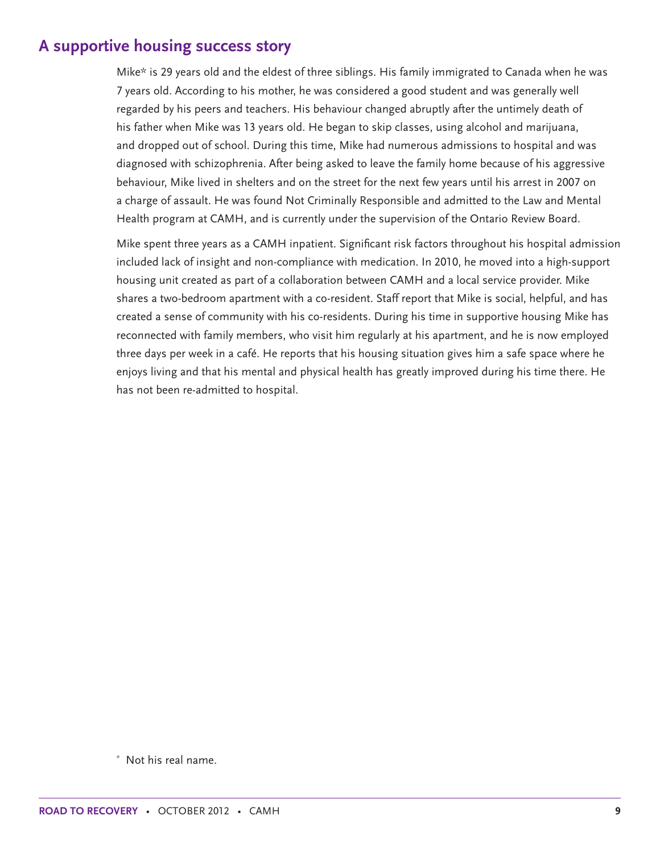## **A supportive housing success story**

Mike\* is 29 years old and the eldest of three siblings. His family immigrated to Canada when he was 7 years old. According to his mother, he was considered a good student and was generally well regarded by his peers and teachers. His behaviour changed abruptly after the untimely death of his father when Mike was 13 years old. He began to skip classes, using alcohol and marijuana, and dropped out of school. During this time, Mike had numerous admissions to hospital and was diagnosed with schizophrenia. After being asked to leave the family home because of his aggressive behaviour, Mike lived in shelters and on the street for the next few years until his arrest in 2007 on a charge of assault. He was found Not Criminally Responsible and admitted to the Law and Mental Health program at CAMH, and is currently under the supervision of the Ontario Review Board.

Mike spent three years as a CAMH inpatient. Significant risk factors throughout his hospital admission included lack of insight and non-compliance with medication. In 2010, he moved into a high-support housing unit created as part of a collaboration between CAMH and a local service provider. Mike shares a two-bedroom apartment with a co-resident. Staff report that Mike is social, helpful, and has created a sense of community with his co-residents. During his time in supportive housing Mike has reconnected with family members, who visit him regularly at his apartment, and he is now employed three days per week in a café. He reports that his housing situation gives him a safe space where he enjoys living and that his mental and physical health has greatly improved during his time there. He has not been re-admitted to hospital.

\* Not his real name.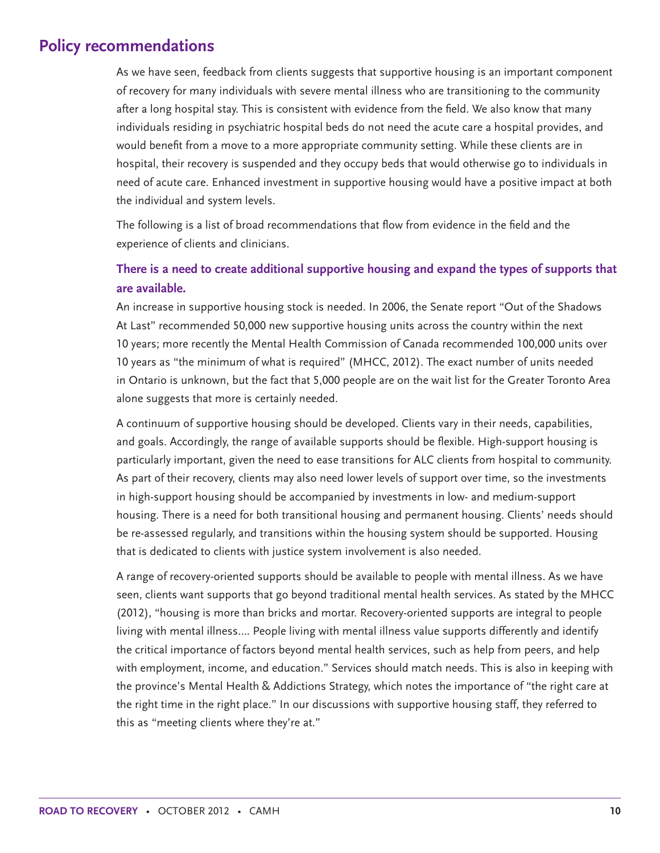## **Policy recommendations**

As we have seen, feedback from clients suggests that supportive housing is an important component of recovery for many individuals with severe mental illness who are transitioning to the community after a long hospital stay. This is consistent with evidence from the field. We also know that many individuals residing in psychiatric hospital beds do not need the acute care a hospital provides, and would benefit from a move to a more appropriate community setting. While these clients are in hospital, their recovery is suspended and they occupy beds that would otherwise go to individuals in need of acute care. Enhanced investment in supportive housing would have a positive impact at both the individual and system levels.

The following is a list of broad recommendations that flow from evidence in the field and the experience of clients and clinicians.

### **There is a need to create additional supportive housing and expand the types of supports that are available.**

An increase in supportive housing stock is needed. In 2006, the Senate report "Out of the Shadows At Last" recommended 50,000 new supportive housing units across the country within the next 10 years; more recently the Mental Health Commission of Canada recommended 100,000 units over 10 years as "the minimum of what is required" (MHCC, 2012). The exact number of units needed in Ontario is unknown, but the fact that 5,000 people are on the wait list for the Greater Toronto Area alone suggests that more is certainly needed.

A continuum of supportive housing should be developed. Clients vary in their needs, capabilities, and goals. Accordingly, the range of available supports should be flexible. High-support housing is particularly important, given the need to ease transitions for ALC clients from hospital to community. As part of their recovery, clients may also need lower levels of support over time, so the investments in high-support housing should be accompanied by investments in low- and medium-support housing. There is a need for both transitional housing and permanent housing. Clients' needs should be re-assessed regularly, and transitions within the housing system should be supported. Housing that is dedicated to clients with justice system involvement is also needed.

A range of recovery-oriented supports should be available to people with mental illness. As we have seen, clients want supports that go beyond traditional mental health services. As stated by the MHCC (2012), "housing is more than bricks and mortar. Recovery-oriented supports are integral to people living with mental illness…. People living with mental illness value supports differently and identify the critical importance of factors beyond mental health services, such as help from peers, and help with employment, income, and education." Services should match needs. This is also in keeping with the province's Mental Health & Addictions Strategy, which notes the importance of "the right care at the right time in the right place." In our discussions with supportive housing staff, they referred to this as "meeting clients where they're at."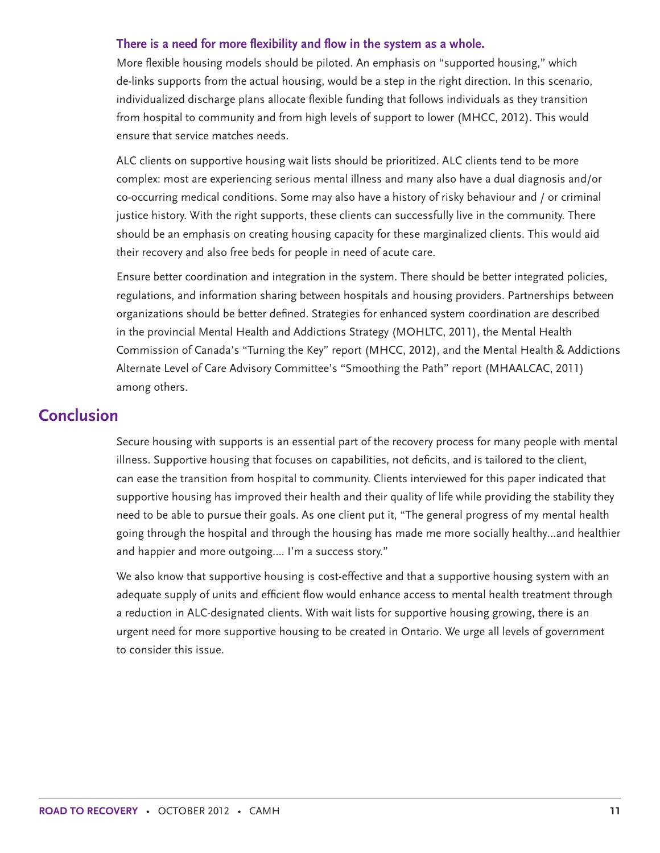#### **There is a need for more flexibility and flow in the system as a whole.**

More flexible housing models should be piloted. An emphasis on "supported housing," which de-links supports from the actual housing, would be a step in the right direction. In this scenario, individualized discharge plans allocate flexible funding that follows individuals as they transition from hospital to community and from high levels of support to lower (MHCC, 2012). This would ensure that service matches needs.

ALC clients on supportive housing wait lists should be prioritized. ALC clients tend to be more complex: most are experiencing serious mental illness and many also have a dual diagnosis and/or co-occurring medical conditions. Some may also have a history of risky behaviour and / or criminal justice history. With the right supports, these clients can successfully live in the community. There should be an emphasis on creating housing capacity for these marginalized clients. This would aid their recovery and also free beds for people in need of acute care.

Ensure better coordination and integration in the system. There should be better integrated policies, regulations, and information sharing between hospitals and housing providers. Partnerships between organizations should be better defined. Strategies for enhanced system coordination are described in the provincial Mental Health and Addictions Strategy (MOHLTC, 2011), the Mental Health Commission of Canada's "Turning the Key" report (MHCC, 2012), and the Mental Health & Addictions Alternate Level of Care Advisory Committee's "Smoothing the Path" report (MHAALCAC, 2011) among others.

## **Conclusion**

Secure housing with supports is an essential part of the recovery process for many people with mental illness. Supportive housing that focuses on capabilities, not deficits, and is tailored to the client, can ease the transition from hospital to community. Clients interviewed for this paper indicated that supportive housing has improved their health and their quality of life while providing the stability they need to be able to pursue their goals. As one client put it, "The general progress of my mental health going through the hospital and through the housing has made me more socially healthy…and healthier and happier and more outgoing…. I'm a success story."

We also know that supportive housing is cost-effective and that a supportive housing system with an adequate supply of units and efficient flow would enhance access to mental health treatment through a reduction in ALC-designated clients. With wait lists for supportive housing growing, there is an urgent need for more supportive housing to be created in Ontario. We urge all levels of government to consider this issue.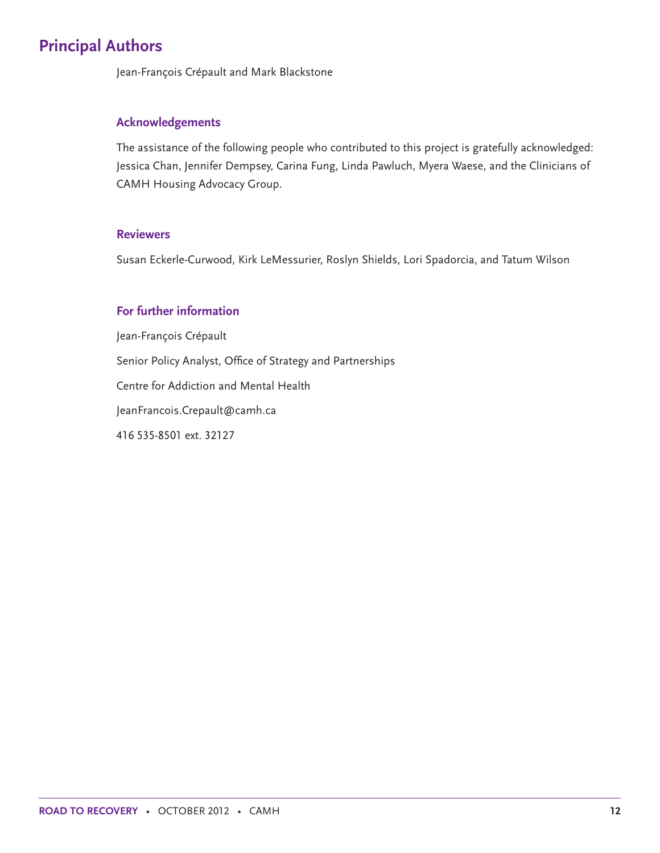# **Principal Authors**

Jean-François Crépault and Mark Blackstone

#### **Acknowledgements**

The assistance of the following people who contributed to this project is gratefully acknowledged: Jessica Chan, Jennifer Dempsey, Carina Fung, Linda Pawluch, Myera Waese, and the Clinicians of CAMH Housing Advocacy Group.

#### **Reviewers**

Susan Eckerle-Curwood, Kirk LeMessurier, Roslyn Shields, Lori Spadorcia, and Tatum Wilson

#### **For further information**

Jean-François Crépault Senior Policy Analyst, Office of Strategy and Partnerships Centre for Addiction and Mental Health JeanFrancois.Crepault@camh.ca 416 535-8501 ext. 32127